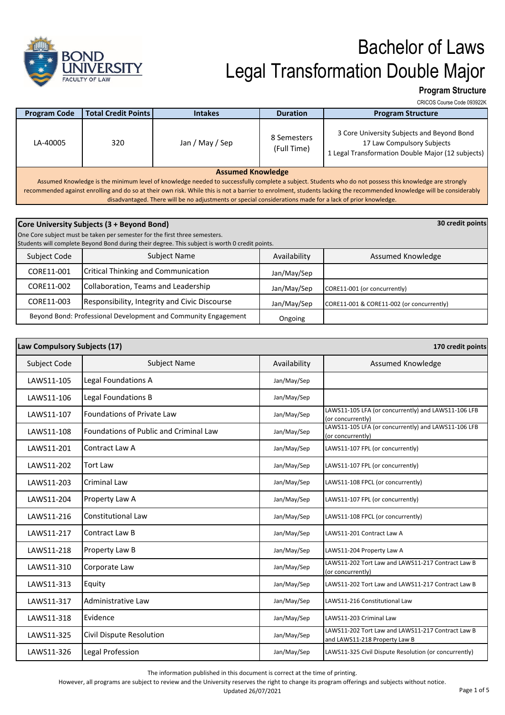

**Program Structure**

|                                                                                                                                                                                                                                                                                                                                |                              |                 |                            | CRICOS Course Code 093922K                                                                                                    |
|--------------------------------------------------------------------------------------------------------------------------------------------------------------------------------------------------------------------------------------------------------------------------------------------------------------------------------|------------------------------|-----------------|----------------------------|-------------------------------------------------------------------------------------------------------------------------------|
| <b>Program Code</b>                                                                                                                                                                                                                                                                                                            | <b>Total Credit Points  </b> | <b>Intakes</b>  | <b>Duration</b>            | <b>Program Structure</b>                                                                                                      |
| LA-40005                                                                                                                                                                                                                                                                                                                       | 320                          | Jan / May / Sep | 8 Semesters<br>(Full Time) | 3 Core University Subjects and Beyond Bond<br>17 Law Compulsory Subjects<br>1 Legal Transformation Double Major (12 subjects) |
| <b>Assumed Knowledge</b>                                                                                                                                                                                                                                                                                                       |                              |                 |                            |                                                                                                                               |
| Assumed Knowledge is the minimum level of knowledge needed to successfully complete a subject. Students who do not possess this knowledge are strongly<br>recommended against enrolling and do so at their own risk. While this is not a barrier to enrolment, students lacking the recommended knowledge will be considerably |                              |                 |                            |                                                                                                                               |
| disadvantaged. There will be no adjustments or special considerations made for a lack of prior knowledge.                                                                                                                                                                                                                      |                              |                 |                            |                                                                                                                               |

|                                                                | Core University Subjects (3 + Beyond Bond)<br>One Core subject must be taken per semester for the first three semesters.<br>Students will complete Beyond Bond during their degree. This subject is worth 0 credit points. |              | 30 credit points                          |
|----------------------------------------------------------------|----------------------------------------------------------------------------------------------------------------------------------------------------------------------------------------------------------------------------|--------------|-------------------------------------------|
| Subject Code                                                   | <b>Subject Name</b>                                                                                                                                                                                                        | Availability | Assumed Knowledge                         |
| CORE11-001                                                     | <b>Critical Thinking and Communication</b>                                                                                                                                                                                 | Jan/May/Sep  |                                           |
| CORE11-002                                                     | Collaboration, Teams and Leadership                                                                                                                                                                                        | Jan/May/Sep  | CORE11-001 (or concurrently)              |
| CORE11-003                                                     | Responsibility, Integrity and Civic Discourse                                                                                                                                                                              | Jan/May/Sep  | CORE11-001 & CORE11-002 (or concurrently) |
| Beyond Bond: Professional Development and Community Engagement |                                                                                                                                                                                                                            | Ongoing      |                                           |

| Law Compulsory Subjects (17) |                                               | 170 credit points |                                                                                    |
|------------------------------|-----------------------------------------------|-------------------|------------------------------------------------------------------------------------|
| Subject Code                 | <b>Subject Name</b>                           | Availability      | <b>Assumed Knowledge</b>                                                           |
| LAWS11-105                   | Legal Foundations A                           | Jan/May/Sep       |                                                                                    |
| LAWS11-106                   | Legal Foundations B                           | Jan/May/Sep       |                                                                                    |
| LAWS11-107                   | Foundations of Private Law                    | Jan/May/Sep       | LAWS11-105 LFA (or concurrently) and LAWS11-106 LFB<br>(or concurrently)           |
| LAWS11-108                   | <b>Foundations of Public and Criminal Law</b> | Jan/May/Sep       | LAWS11-105 LFA (or concurrently) and LAWS11-106 LFB<br>(or concurrently)           |
| LAWS11-201                   | Contract Law A                                | Jan/May/Sep       | LAWS11-107 FPL (or concurrently)                                                   |
| LAWS11-202                   | <b>Tort Law</b>                               | Jan/May/Sep       | LAWS11-107 FPL (or concurrently)                                                   |
| LAWS11-203                   | <b>Criminal Law</b>                           | Jan/May/Sep       | LAWS11-108 FPCL (or concurrently)                                                  |
| LAWS11-204                   | Property Law A                                | Jan/May/Sep       | LAWS11-107 FPL (or concurrently)                                                   |
| LAWS11-216                   | <b>Constitutional Law</b>                     | Jan/May/Sep       | LAWS11-108 FPCL (or concurrently)                                                  |
| LAWS11-217                   | Contract Law B                                | Jan/May/Sep       | LAWS11-201 Contract Law A                                                          |
| LAWS11-218                   | Property Law B                                | Jan/May/Sep       | LAWS11-204 Property Law A                                                          |
| LAWS11-310                   | Corporate Law                                 | Jan/May/Sep       | LAWS11-202 Tort Law and LAWS11-217 Contract Law B<br>(or concurrently)             |
| LAWS11-313                   | Equity                                        | Jan/May/Sep       | LAWS11-202 Tort Law and LAWS11-217 Contract Law B                                  |
| LAWS11-317                   | Administrative Law                            | Jan/May/Sep       | LAWS11-216 Constitutional Law                                                      |
| LAWS11-318                   | Evidence                                      | Jan/May/Sep       | LAWS11-203 Criminal Law                                                            |
| LAWS11-325                   | Civil Dispute Resolution                      | Jan/May/Sep       | LAWS11-202 Tort Law and LAWS11-217 Contract Law B<br>and LAWS11-218 Property Law B |
| LAWS11-326                   | Legal Profession                              | Jan/May/Sep       | LAWS11-325 Civil Dispute Resolution (or concurrently)                              |

The information published in this document is correct at the time of printing.

However, all programs are subject to review and the University reserves the right to change its program offerings and subjects without notice.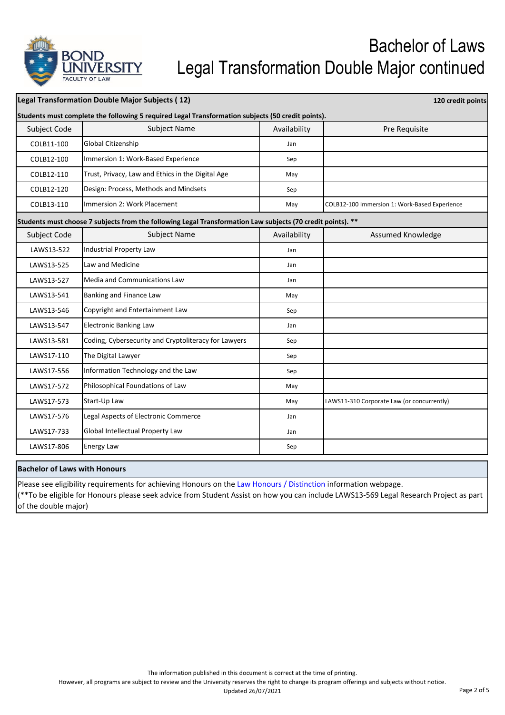

| <b>Legal Transformation Double Major Subjects (12)</b> |                                                                                                             |              | 120 credit points                             |
|--------------------------------------------------------|-------------------------------------------------------------------------------------------------------------|--------------|-----------------------------------------------|
|                                                        | Students must complete the following 5 required Legal Transformation subjects (50 credit points).           |              |                                               |
| Subject Code                                           | <b>Subject Name</b>                                                                                         | Availability | Pre Requisite                                 |
| COLB11-100                                             | Global Citizenship                                                                                          | Jan          |                                               |
| COLB12-100                                             | Immersion 1: Work-Based Experience                                                                          | Sep          |                                               |
| COLB12-110                                             | Trust, Privacy, Law and Ethics in the Digital Age                                                           | May          |                                               |
| COLB12-120                                             | Design: Process, Methods and Mindsets                                                                       | Sep          |                                               |
| COLB13-110                                             | Immersion 2: Work Placement                                                                                 | May          | COLB12-100 Immersion 1: Work-Based Experience |
|                                                        | Students must choose 7 subjects from the following Legal Transformation Law subjects (70 credit points). ** |              |                                               |
| Subject Code                                           | <b>Subject Name</b>                                                                                         | Availability | Assumed Knowledge                             |
| LAWS13-522                                             | Industrial Property Law                                                                                     | Jan          |                                               |
| LAWS13-525                                             | Law and Medicine                                                                                            | Jan          |                                               |
| LAWS13-527                                             | <b>Media and Communications Law</b>                                                                         | Jan          |                                               |
| LAWS13-541                                             | Banking and Finance Law                                                                                     | May          |                                               |
| LAWS13-546                                             | Copyright and Entertainment Law                                                                             | Sep          |                                               |
| LAWS13-547                                             | <b>Electronic Banking Law</b>                                                                               | Jan          |                                               |
| LAWS13-581                                             | Coding, Cybersecurity and Cryptoliteracy for Lawyers                                                        | Sep          |                                               |
| LAWS17-110                                             | The Digital Lawyer                                                                                          | Sep          |                                               |
| LAWS17-556                                             | Information Technology and the Law                                                                          | Sep          |                                               |
| LAWS17-572                                             | Philosophical Foundations of Law                                                                            | May          |                                               |
| LAWS17-573                                             | Start-Up Law                                                                                                | May          | LAWS11-310 Corporate Law (or concurrently)    |
| LAWS17-576                                             | Legal Aspects of Electronic Commerce                                                                        | Jan          |                                               |
| LAWS17-733                                             | Global Intellectual Property Law                                                                            | Jan          |                                               |
| LAWS17-806                                             | <b>Energy Law</b>                                                                                           | Sep          |                                               |

**Bachelor of Laws with Honours**

Please see eligibility requirements for achieving Honours on the Law Honours / Distinction information webpage. (\*\*To be eligible for Honours please seek advice from Student Assist on how you can include LAWS13‐569 Legal Research Project as part of the double major)

However, all programs are subject to review and the University reserves the right to change its program offerings and subjects without notice.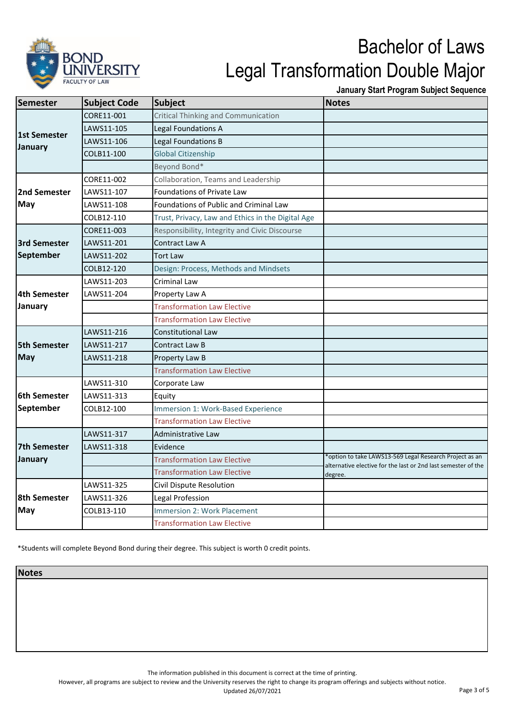

**January Start Program Subject Sequence**

| Semester                | <b>Subject Code</b> | <b>Subject</b>                                    | <b>Notes</b>                                                                                                             |
|-------------------------|---------------------|---------------------------------------------------|--------------------------------------------------------------------------------------------------------------------------|
| 1st Semester<br>January | CORE11-001          | <b>Critical Thinking and Communication</b>        |                                                                                                                          |
|                         | LAWS11-105          | Legal Foundations A                               |                                                                                                                          |
|                         | LAWS11-106          | Legal Foundations B                               |                                                                                                                          |
|                         | COLB11-100          | <b>Global Citizenship</b>                         |                                                                                                                          |
|                         |                     | Beyond Bond*                                      |                                                                                                                          |
|                         | CORE11-002          | Collaboration, Teams and Leadership               |                                                                                                                          |
| 2nd Semester            | LAWS11-107          | Foundations of Private Law                        |                                                                                                                          |
| <b>May</b>              | LAWS11-108          | Foundations of Public and Criminal Law            |                                                                                                                          |
|                         | COLB12-110          | Trust, Privacy, Law and Ethics in the Digital Age |                                                                                                                          |
|                         | CORE11-003          | Responsibility, Integrity and Civic Discourse     |                                                                                                                          |
| <b>3rd Semester</b>     | LAWS11-201          | Contract Law A                                    |                                                                                                                          |
| September               | LAWS11-202          | <b>Tort Law</b>                                   |                                                                                                                          |
|                         | COLB12-120          | Design: Process, Methods and Mindsets             |                                                                                                                          |
|                         | LAWS11-203          | Criminal Law                                      |                                                                                                                          |
| 4th Semester            | LAWS11-204          | Property Law A                                    |                                                                                                                          |
| January                 |                     | <b>Transformation Law Elective</b>                |                                                                                                                          |
|                         |                     | <b>Transformation Law Elective</b>                |                                                                                                                          |
|                         | LAWS11-216          | Constitutional Law                                |                                                                                                                          |
| <b>5th Semester</b>     | LAWS11-217          | Contract Law B                                    |                                                                                                                          |
| <b>May</b>              | LAWS11-218          | Property Law B                                    |                                                                                                                          |
|                         |                     | <b>Transformation Law Elective</b>                |                                                                                                                          |
|                         | LAWS11-310          | Corporate Law                                     |                                                                                                                          |
| <b>6th Semester</b>     | LAWS11-313          | Equity                                            |                                                                                                                          |
| September               | COLB12-100          | Immersion 1: Work-Based Experience                |                                                                                                                          |
|                         |                     | <b>Transformation Law Elective</b>                |                                                                                                                          |
|                         | LAWS11-317          | Administrative Law                                |                                                                                                                          |
| 7th Semester            | LAWS11-318          | Evidence                                          |                                                                                                                          |
| January                 |                     | <b>Transformation Law Elective</b>                | *option to take LAWS13-569 Legal Research Project as an<br>alternative elective for the last or 2nd last semester of the |
|                         |                     | <b>Transformation Law Elective</b>                | degree.                                                                                                                  |
| <b>8th Semester</b>     | LAWS11-325          | Civil Dispute Resolution                          |                                                                                                                          |
|                         | LAWS11-326          | Legal Profession                                  |                                                                                                                          |
| May                     | COLB13-110          | <b>Immersion 2: Work Placement</b>                |                                                                                                                          |
|                         |                     | <b>Transformation Law Elective</b>                |                                                                                                                          |

\*Students will complete Beyond Bond during their degree. This subject is worth 0 credit points.

**Notes**

The information published in this document is correct at the time of printing.

However, all programs are subject to review and the University reserves the right to change its program offerings and subjects without notice.

Updated 26/07/2021 **Page 3 of 5**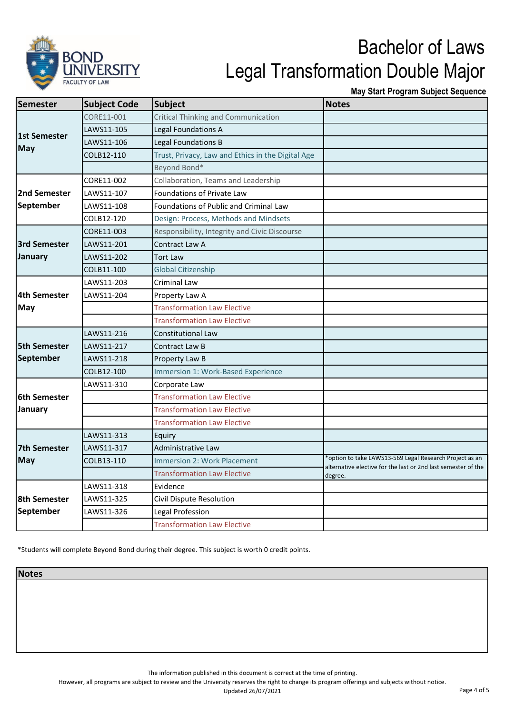

**May Start Program Subject Sequence**

| <b>Semester</b>            | <b>Subject Code</b> | <b>Subject</b>                                    | <b>Notes</b>                                                             |
|----------------------------|---------------------|---------------------------------------------------|--------------------------------------------------------------------------|
| 1st Semester<br><b>May</b> | CORE11-001          | Critical Thinking and Communication               |                                                                          |
|                            | LAWS11-105          | Legal Foundations A                               |                                                                          |
|                            | LAWS11-106          | Legal Foundations B                               |                                                                          |
|                            | COLB12-110          | Trust, Privacy, Law and Ethics in the Digital Age |                                                                          |
|                            |                     | Beyond Bond*                                      |                                                                          |
|                            | CORE11-002          | Collaboration, Teams and Leadership               |                                                                          |
| 2nd Semester               | LAWS11-107          | Foundations of Private Law                        |                                                                          |
| September                  | LAWS11-108          | Foundations of Public and Criminal Law            |                                                                          |
|                            | COLB12-120          | Design: Process, Methods and Mindsets             |                                                                          |
|                            | CORE11-003          | Responsibility, Integrity and Civic Discourse     |                                                                          |
| <b>3rd Semester</b>        | LAWS11-201          | Contract Law A                                    |                                                                          |
| January                    | LAWS11-202          | <b>Tort Law</b>                                   |                                                                          |
|                            | COLB11-100          | <b>Global Citizenship</b>                         |                                                                          |
|                            | LAWS11-203          | Criminal Law                                      |                                                                          |
| <b>4th Semester</b>        | LAWS11-204          | Property Law A                                    |                                                                          |
| <b>May</b>                 |                     | <b>Transformation Law Elective</b>                |                                                                          |
|                            |                     | <b>Transformation Law Elective</b>                |                                                                          |
|                            | LAWS11-216          | <b>Constitutional Law</b>                         |                                                                          |
| <b>5th Semester</b>        | LAWS11-217          | <b>Contract Law B</b>                             |                                                                          |
| September                  | LAWS11-218          | Property Law B                                    |                                                                          |
|                            | COLB12-100          | Immersion 1: Work-Based Experience                |                                                                          |
|                            | LAWS11-310          | Corporate Law                                     |                                                                          |
| <b>6th Semester</b>        |                     | <b>Transformation Law Elective</b>                |                                                                          |
| January                    |                     | <b>Transformation Law Elective</b>                |                                                                          |
|                            |                     | <b>Transformation Law Elective</b>                |                                                                          |
|                            | LAWS11-313          | Equiry                                            |                                                                          |
| 7th Semester               | LAWS11-317          | <b>Administrative Law</b>                         |                                                                          |
| <b>May</b>                 | COLB13-110          | <b>Immersion 2: Work Placement</b>                | *option to take LAWS13-569 Legal Research Project as an                  |
|                            |                     | <b>Transformation Law Elective</b>                | alternative elective for the last or 2nd last semester of the<br>degree. |
|                            | LAWS11-318          | Evidence                                          |                                                                          |
| <b>8th Semester</b>        | LAWS11-325          | Civil Dispute Resolution                          |                                                                          |
| September                  | LAWS11-326          | Legal Profession                                  |                                                                          |
|                            |                     | <b>Transformation Law Elective</b>                |                                                                          |

\*Students will complete Beyond Bond during their degree. This subject is worth 0 credit points.

**Notes**

The information published in this document is correct at the time of printing.

However, all programs are subject to review and the University reserves the right to change its program offerings and subjects without notice.

Updated 26/07/2021 **Page 4 of 5**